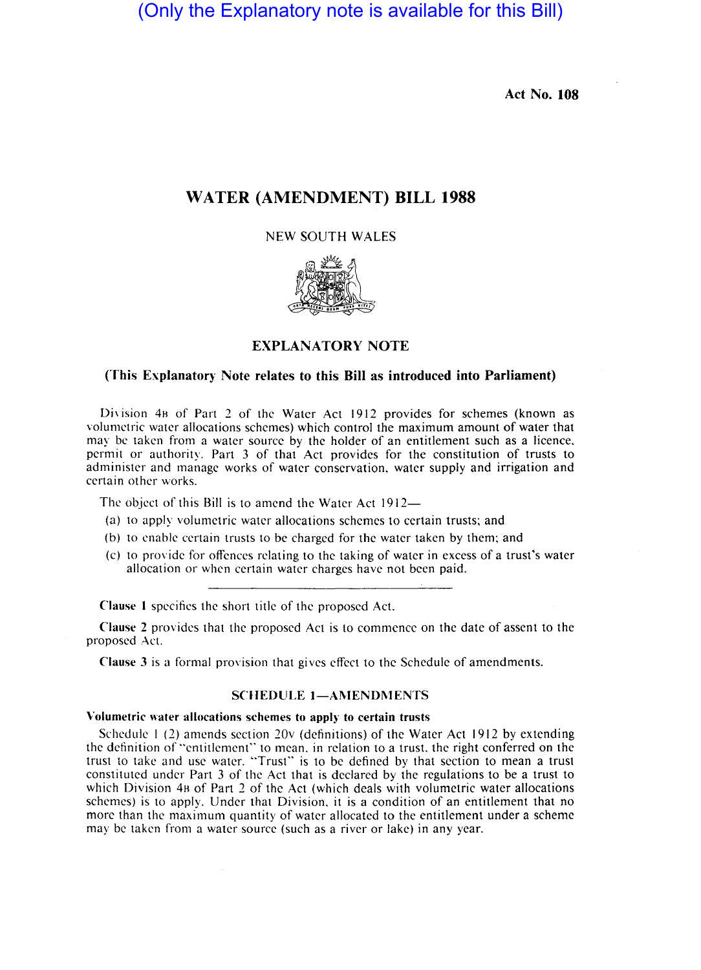(Only the Explanatory note is available for this Bill)

Act No. 108

## WATER (AMENDMENT) **BILL** 1988

## NEW SOUTH WALES



## EXPLANATORY NOTE

#### (This Explanatory Note relates to this Bill as introduced into Parliament)

Division 4B of Part 2 of the Water Act 1912 provides for schemes (known as volumetric water allocations schemes) which control the maximum amount of water that may be taken from a water source by the holder of an entitlement such as a licence, permit or authority. Part 3 of that Act provides for the constitution of trusts to administer and manage works of water conservation, water supply and irrigation and certain other works.

The object of this Bill is to amend the Water Act 1912-

- (a) to apply volumetric water allocations schemes to certain trusts; and
- (b) to enable certain trusts to be charged for the water taken by them; and
- (c) to provide for offences relating to the taking of water in excess of a trust's water allocation or when certain water charges have not been paid.

Clause 1 specifies the short title of the proposed Act.

Clause 2 provides that the proposed Act is to commence on the date of assent to the proposed Act.

Clause 3 is a formal provision that gives effect to the Schedule of amendments.

## SCHEDULE 1-AMENDMENTS

#### Volumetric water allocations schemes to apply to certain trusts

Schedule 1 (2) amends section 20 $\nu$  (definitions) of the Water Act 1912 by extending the definition of "entitlement" to mean. in relation to a trust. the right conferred on the trust to take and use water. "Trust" is to be defined by that section to mean a trust constituted under Part 3 of the Act that is declared by the regulations to be a trust to which Division 4 $B$  of Part 2 of the Act (which deals with volumetric water allocations schemes) is to apply. Under that Division, it is a condition of an entitlement that no more than the maximum quantity of water allocated to the entitlement under a scheme may be taken from a water source (such as a river or lake) in any year.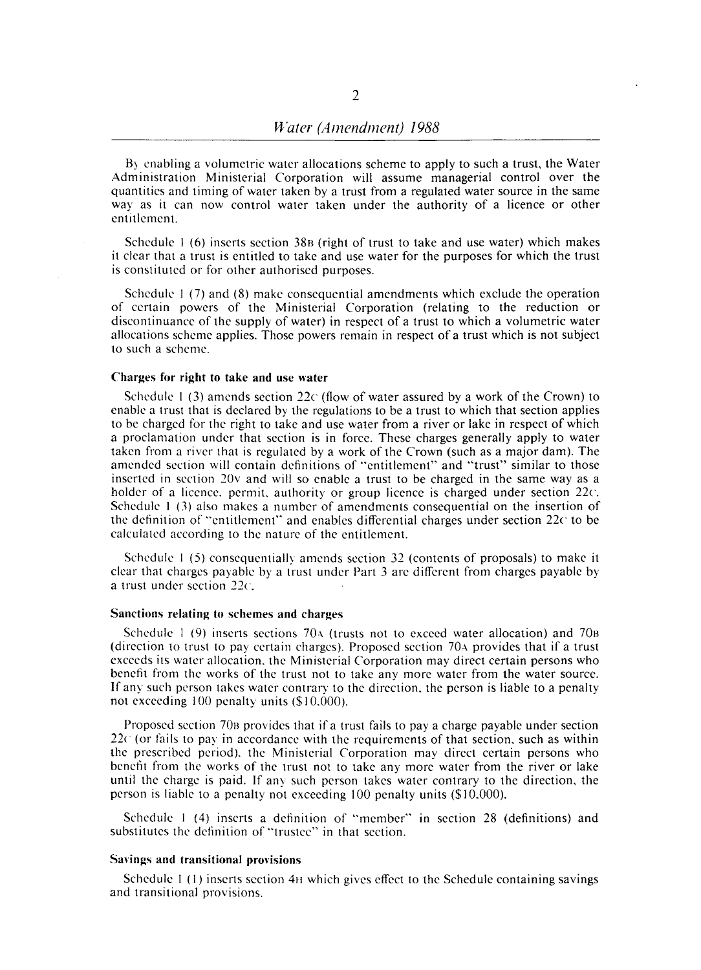B) enabling a volumetric water allocations scheme to apply to such a trust, the Water Administration Ministerial Corporation will assume managerial control over the quantities and timing of water taken by a trust from a regulated water source in the same way as it can now control water taken under the authority of a licence or other entitlement.

Schedule I (6) inserts section 38B (right of trust to take and use water) which makes it clear that a trust is entitled to take and use water for the purposes for which the trust is constituted or for other authorised purposes.

Schedule I (7) and (8) make consequential amendments which exclude the operation of certain powers of the Ministerial Corporation (relating to the reduction or discontinuance of the supply of water) in respect of a trust to which a volumetric water allocations scheme applies. Those powers remain in respect of a trust which is not subject to such a scheme.

#### Charges for right to take and use water

Schedule 1 (3) amends section 22 $\epsilon$  (flow of water assured by a work of the Crown) to enable a trust that is declared by the regulations to be a trust to which that section applies to be charged for the right to take and use water from a river or lake in respect of which a proclamation under that section is in force. These charges generally apply to water taken from a river that is regulated by a work of the Crown (such as a major dam). The amended section will contain definitions of "entitlement" and "trust" similar to those inserted in section 20v and will so enable a trust to be charged in the same way as a holder of a licence. permit. authority or group licence is charged under section 22c. Schedule I (3) also makes a number of amendments consequential on the insertion of the definition of "entitlement" and enables differential charges under section 22c to be calculated according to the nature of the entitlement.

Schedule I (5) consequentially amends section 32 (contents of proposals) to make it clear that charges payable by a trust under Part 3 are different from charges payable by a trust under seetion 22e.

#### Sanctions relating to schemes and charges

Schedule 1 (9) inserts sections  $70\text{A}$  (trusts not to exceed water allocation) and  $70\text{B}$ (direction to trust to pay certain charges). Proposed section  $70a$  provides that if a trust exceeds its water allocation. the Ministerial Corporation may direct certain persons who benefit from the works of the trust not to take anv more water from the water source. If any such person takes water contrary to the direction, the person is liable to a penalty not exceeding 100 penalty units (\$10.000).

Proposed section 70B provides that if a trust fails to pay a charge payable under section  $22<sup>c</sup>$  (or fails to pay in accordance with the requirements of that section, such as within the prescribed period). the Ministerial Corporation may direct certain persons who benefit from the works of the trust not to take any more water from the river or lake until the charge is paid. If any such person takes water contrary to the direction, the person is liable to a penalty not exceeding 100 penalty units (\$10,000).

Schedule I (4) inserts a definition of "member" in section 28 (definitions) and substitutes the definition of "trustee" in that section.

#### Savings and transitional provisions

Schedule I (I) inserts section 4H which gives effect to the Schedule containing savings and transitional provisions.